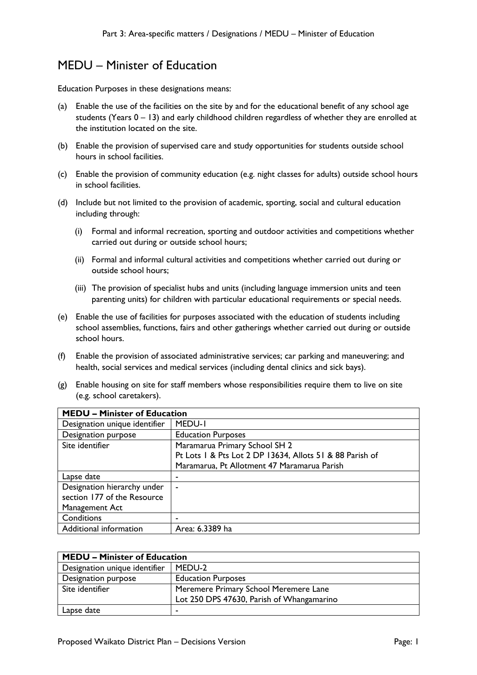Education Purposes in these designations means:

- (a) Enable the use of the facilities on the site by and for the educational benefit of any school age students (Years  $0 - 13$ ) and early childhood children regardless of whether they are enrolled at the institution located on the site.
- (b) Enable the provision of supervised care and study opportunities for students outside school hours in school facilities.
- (c) Enable the provision of community education (e.g. night classes for adults) outside school hours in school facilities.
- (d) Include but not limited to the provision of academic, sporting, social and cultural education including through:
	- (i) Formal and informal recreation, sporting and outdoor activities and competitions whether carried out during or outside school hours;
	- (ii) Formal and informal cultural activities and competitions whether carried out during or outside school hours;
	- (iii) The provision of specialist hubs and units (including language immersion units and teen parenting units) for children with particular educational requirements or special needs.
- (e) Enable the use of facilities for purposes associated with the education of students including school assemblies, functions, fairs and other gatherings whether carried out during or outside school hours.
- (f) Enable the provision of associated administrative services; car parking and maneuvering; and health, social services and medical services (including dental clinics and sick bays).
- (g) Enable housing on site for staff members whose responsibilities require them to live on site (e.g. school caretakers).

| <b>MEDU - Minister of Education</b> |                                                          |
|-------------------------------------|----------------------------------------------------------|
| Designation unique identifier       | MEDU-I                                                   |
| Designation purpose                 | <b>Education Purposes</b>                                |
| Site identifier                     | Maramarua Primary School SH 2                            |
|                                     | Pt Lots   & Pts Lot 2 DP 13634, Allots 51 & 88 Parish of |
|                                     | Maramarua, Pt Allotment 47 Maramarua Parish              |
| Lapse date                          | ٠                                                        |
| Designation hierarchy under         | ۰                                                        |
| section 177 of the Resource         |                                                          |
| Management Act                      |                                                          |
| Conditions                          | ٠                                                        |
| Additional information              | Area: 6.3389 ha                                          |

| <b>MEDU - Minister of Education</b> |                                           |
|-------------------------------------|-------------------------------------------|
| Designation unique identifier       | MEDU-2                                    |
| Designation purpose                 | <b>Education Purposes</b>                 |
| Site identifier                     | Meremere Primary School Meremere Lane     |
|                                     | Lot 250 DPS 47630, Parish of Whangamarino |
| Lapse date                          |                                           |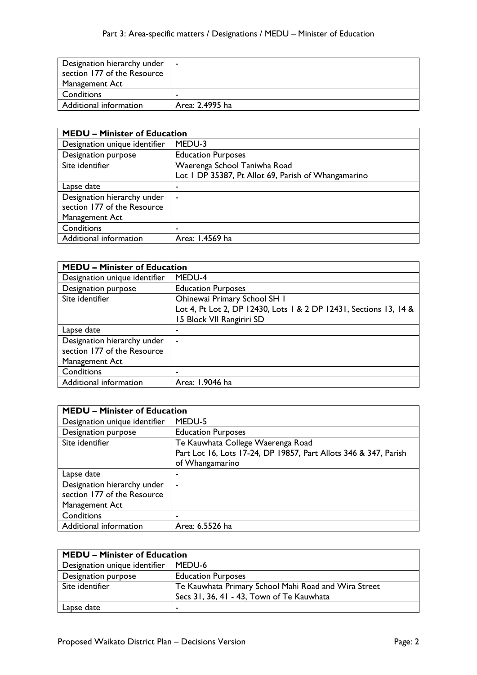| Designation hierarchy under<br>section 177 of the Resource | $\sim$          |
|------------------------------------------------------------|-----------------|
| Management Act                                             |                 |
| Conditions                                                 |                 |
| Additional information                                     | Area: 2.4995 ha |

| <b>MEDU - Minister of Education</b> |                                                     |
|-------------------------------------|-----------------------------------------------------|
| Designation unique identifier       | MEDU-3                                              |
| Designation purpose                 | <b>Education Purposes</b>                           |
| Site identifier                     | Waerenga School Taniwha Road                        |
|                                     | Lot I DP 35387, Pt Allot 69, Parish of Whangamarino |
| Lapse date                          | ۰                                                   |
| Designation hierarchy under         | $\overline{\phantom{a}}$                            |
| section 177 of the Resource         |                                                     |
| Management Act                      |                                                     |
| Conditions                          | ٠                                                   |
| Additional information              | Area: 1.4569 ha                                     |

| <b>MEDU - Minister of Education</b> |                                                                   |
|-------------------------------------|-------------------------------------------------------------------|
| Designation unique identifier       | MEDU-4                                                            |
| Designation purpose                 | <b>Education Purposes</b>                                         |
| Site identifier                     | Ohinewai Primary School SH I                                      |
|                                     | Lot 4, Pt Lot 2, DP 12430, Lots 1 & 2 DP 12431, Sections 13, 14 & |
|                                     | 15 Block VII Rangiriri SD                                         |
| Lapse date                          |                                                                   |
| Designation hierarchy under         |                                                                   |
| section 177 of the Resource         |                                                                   |
| Management Act                      |                                                                   |
| Conditions                          |                                                                   |
| Additional information              | Area: 1.9046 ha                                                   |

| <b>MEDU - Minister of Education</b> |                                                                  |
|-------------------------------------|------------------------------------------------------------------|
| Designation unique identifier       | MEDU-5                                                           |
| Designation purpose                 | <b>Education Purposes</b>                                        |
| Site identifier                     | Te Kauwhata College Waerenga Road                                |
|                                     | Part Lot 16, Lots 17-24, DP 19857, Part Allots 346 & 347, Parish |
|                                     | of Whangamarino                                                  |
| Lapse date                          |                                                                  |
| Designation hierarchy under         | $\overline{\phantom{a}}$                                         |
| section 177 of the Resource         |                                                                  |
| Management Act                      |                                                                  |
| Conditions                          |                                                                  |
| Additional information              | Area: 6.5526 ha                                                  |

| <b>MEDU - Minister of Education</b> |                                                      |
|-------------------------------------|------------------------------------------------------|
| Designation unique identifier       | MEDU-6                                               |
| Designation purpose                 | <b>Education Purposes</b>                            |
| Site identifier                     | Te Kauwhata Primary School Mahi Road and Wira Street |
|                                     | Secs 31, 36, 41 - 43, Town of Te Kauwhata            |
| Lapse date                          | $\blacksquare$                                       |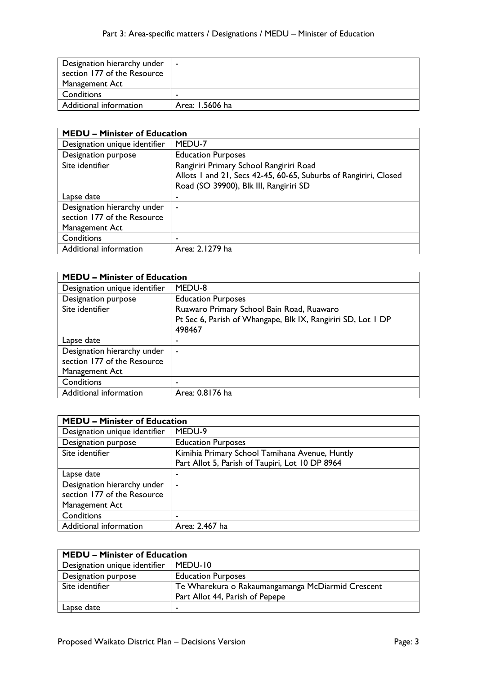| Designation hierarchy under<br>section 177 of the Resource | $\sim$          |
|------------------------------------------------------------|-----------------|
| Management Act                                             |                 |
| Conditions                                                 |                 |
| Additional information                                     | Area: 1.5606 ha |

| <b>MEDU - Minister of Education</b> |                                                                  |
|-------------------------------------|------------------------------------------------------------------|
| Designation unique identifier       | MEDU-7                                                           |
| Designation purpose                 | <b>Education Purposes</b>                                        |
| Site identifier                     | Rangiriri Primary School Rangiriri Road                          |
|                                     | Allots 1 and 21, Secs 42-45, 60-65, Suburbs of Rangiriri, Closed |
|                                     | Road (SO 39900), Blk III, Rangiriri SD                           |
| Lapse date                          | ٠                                                                |
| Designation hierarchy under         | $\blacksquare$                                                   |
| section 177 of the Resource         |                                                                  |
| Management Act                      |                                                                  |
| Conditions                          | ۰                                                                |
| Additional information              | Area: 2.1279 ha                                                  |

| <b>MEDU - Minister of Education</b> |                                                              |
|-------------------------------------|--------------------------------------------------------------|
| Designation unique identifier       | MEDU-8                                                       |
| Designation purpose                 | <b>Education Purposes</b>                                    |
| Site identifier                     | Ruawaro Primary School Bain Road, Ruawaro                    |
|                                     | Pt Sec 6, Parish of Whangape, Blk IX, Rangiriri SD, Lot I DP |
|                                     | 498467                                                       |
| Lapse date                          |                                                              |
| Designation hierarchy under         |                                                              |
| section 177 of the Resource         |                                                              |
| Management Act                      |                                                              |
| Conditions                          |                                                              |
| Additional information              | Area: 0.8176 ha                                              |

| <b>MEDU – Minister of Education</b> |                                                 |
|-------------------------------------|-------------------------------------------------|
| Designation unique identifier       | MEDU-9                                          |
| Designation purpose                 | <b>Education Purposes</b>                       |
| Site identifier                     | Kimihia Primary School Tamihana Avenue, Huntly  |
|                                     | Part Allot 5, Parish of Taupiri, Lot 10 DP 8964 |
| Lapse date                          | ٠                                               |
| Designation hierarchy under         | ٠                                               |
| section 177 of the Resource         |                                                 |
| Management Act                      |                                                 |
| Conditions                          |                                                 |
| Additional information              | Area: 2.467 ha                                  |

| <b>MEDU - Minister of Education</b> |                                                   |
|-------------------------------------|---------------------------------------------------|
| Designation unique identifier       | MEDU-10                                           |
| Designation purpose                 | <b>Education Purposes</b>                         |
| Site identifier                     | Te Wharekura o Rakaumangamanga McDiarmid Crescent |
|                                     | Part Allot 44, Parish of Pepepe                   |
| Lapse date                          | -                                                 |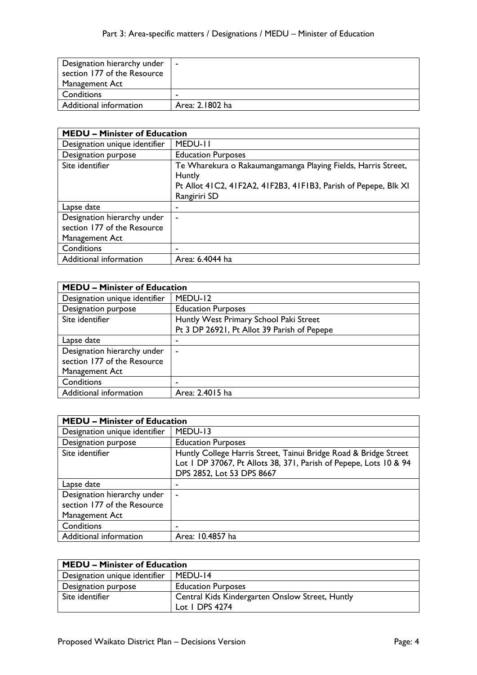| Designation hierarchy under<br>section 177 of the Resource | $\sim$          |
|------------------------------------------------------------|-----------------|
| Management Act                                             |                 |
| Conditions                                                 |                 |
| Additional information                                     | Area: 2.1802 ha |

| <b>MEDU - Minister of Education</b>                                          |                                                                                                                                                            |
|------------------------------------------------------------------------------|------------------------------------------------------------------------------------------------------------------------------------------------------------|
| Designation unique identifier                                                | MEDU-II                                                                                                                                                    |
| Designation purpose                                                          | <b>Education Purposes</b>                                                                                                                                  |
| Site identifier                                                              | Te Wharekura o Rakaumangamanga Playing Fields, Harris Street,<br>Huntly<br>Pt Allot 41C2, 41F2A2, 41F2B3, 41F1B3, Parish of Pepepe, Blk XI<br>Rangiriri SD |
| Lapse date                                                                   | ٠                                                                                                                                                          |
| Designation hierarchy under<br>section 177 of the Resource<br>Management Act | $\overline{\phantom{a}}$                                                                                                                                   |
| Conditions                                                                   |                                                                                                                                                            |
| Additional information                                                       | Area: 6.4044 ha                                                                                                                                            |

| <b>MEDU - Minister of Education</b> |                                             |
|-------------------------------------|---------------------------------------------|
| Designation unique identifier       | MEDU-12                                     |
| Designation purpose                 | <b>Education Purposes</b>                   |
| Site identifier                     | Huntly West Primary School Paki Street      |
|                                     | Pt 3 DP 26921, Pt Allot 39 Parish of Pepepe |
| Lapse date                          | ٠                                           |
| Designation hierarchy under         | $\overline{\phantom{a}}$                    |
| section 177 of the Resource         |                                             |
| Management Act                      |                                             |
| Conditions                          |                                             |
| Additional information              | Area: 2.4015 ha                             |

| <b>MEDU - Minister of Education</b>                                          |                                                                                                                                                                    |
|------------------------------------------------------------------------------|--------------------------------------------------------------------------------------------------------------------------------------------------------------------|
| Designation unique identifier                                                | MEDU-13                                                                                                                                                            |
| Designation purpose                                                          | <b>Education Purposes</b>                                                                                                                                          |
| Site identifier                                                              | Huntly College Harris Street, Tainui Bridge Road & Bridge Street<br>Lot I DP 37067, Pt Allots 38, 371, Parish of Pepepe, Lots 10 & 94<br>DPS 2852, Lot 53 DPS 8667 |
| Lapse date                                                                   |                                                                                                                                                                    |
| Designation hierarchy under<br>section 177 of the Resource<br>Management Act | $\overline{\phantom{a}}$                                                                                                                                           |
| Conditions                                                                   |                                                                                                                                                                    |
| Additional information                                                       | Area: 10.4857 ha                                                                                                                                                   |

| <b>MEDU - Minister of Education</b> |                                                 |
|-------------------------------------|-------------------------------------------------|
| Designation unique identifier       | MEDU-14                                         |
| Designation purpose                 | <b>Education Purposes</b>                       |
| Site identifier                     | Central Kids Kindergarten Onslow Street, Huntly |
|                                     | Lot $\vert$ DPS 4274                            |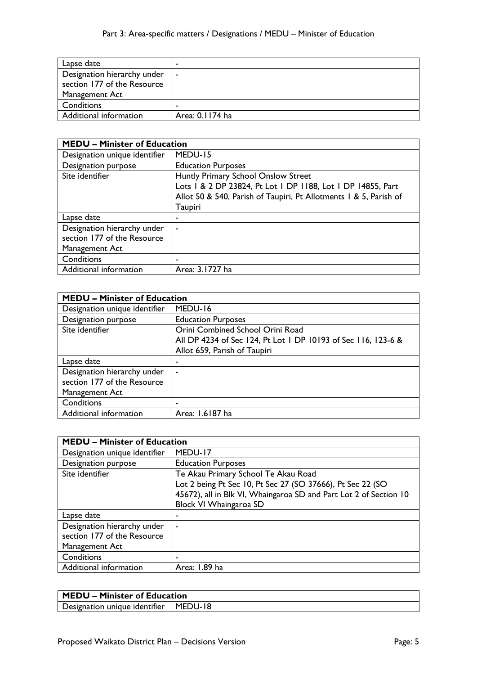| Lapse date                  |                          |
|-----------------------------|--------------------------|
| Designation hierarchy under | $\overline{\phantom{a}}$ |
| section 177 of the Resource |                          |
| Management Act              |                          |
| Conditions                  |                          |
| Additional information      | Area: 0.1174 ha          |

| <b>MEDU - Minister of Education</b> |                                                                   |
|-------------------------------------|-------------------------------------------------------------------|
| Designation unique identifier       | MEDU-15                                                           |
| <b>Designation purpose</b>          | <b>Education Purposes</b>                                         |
| Site identifier                     | Huntly Primary School Onslow Street                               |
|                                     | Lots   & 2 DP 23824, Pt Lot   DP   188, Lot   DP   4855, Part     |
|                                     | Allot 50 & 540, Parish of Taupiri, Pt Allotments 1 & 5, Parish of |
|                                     | Taupiri                                                           |
| Lapse date                          | -                                                                 |
| Designation hierarchy under         | ٠                                                                 |
| section 177 of the Resource         |                                                                   |
| Management Act                      |                                                                   |
| Conditions                          | ٠                                                                 |
| Additional information              | Area: 3.1727 ha                                                   |

| <b>MEDU - Minister of Education</b> |                                                               |
|-------------------------------------|---------------------------------------------------------------|
| Designation unique identifier       | MEDU-16                                                       |
| Designation purpose                 | <b>Education Purposes</b>                                     |
| Site identifier                     | Orini Combined School Orini Road                              |
|                                     | All DP 4234 of Sec 124, Pt Lot 1 DP 10193 of Sec 116, 123-6 & |
|                                     | Allot 659, Parish of Taupiri                                  |
| Lapse date                          |                                                               |
| Designation hierarchy under         | $\blacksquare$                                                |
| section 177 of the Resource         |                                                               |
| Management Act                      |                                                               |
| Conditions                          | ٠                                                             |
| Additional information              | Area: 1.6187 ha                                               |

| <b>MEDU - Minister of Education</b>                                          |                                                                                                                                                                                                  |
|------------------------------------------------------------------------------|--------------------------------------------------------------------------------------------------------------------------------------------------------------------------------------------------|
| Designation unique identifier                                                | MEDU-17                                                                                                                                                                                          |
| <b>Designation purpose</b>                                                   | <b>Education Purposes</b>                                                                                                                                                                        |
| Site identifier                                                              | Te Akau Primary School Te Akau Road<br>Lot 2 being Pt Sec 10, Pt Sec 27 (SO 37666), Pt Sec 22 (SO<br>45672), all in Blk VI, Whaingaroa SD and Part Lot 2 of Section 10<br>Block VI Whaingaroa SD |
| Lapse date                                                                   | ۰                                                                                                                                                                                                |
| Designation hierarchy under<br>section 177 of the Resource<br>Management Act | ٠                                                                                                                                                                                                |
| Conditions                                                                   | ٠                                                                                                                                                                                                |
| Additional information                                                       | Area: 1.89 ha                                                                                                                                                                                    |

Designation unique identifier | MEDU-18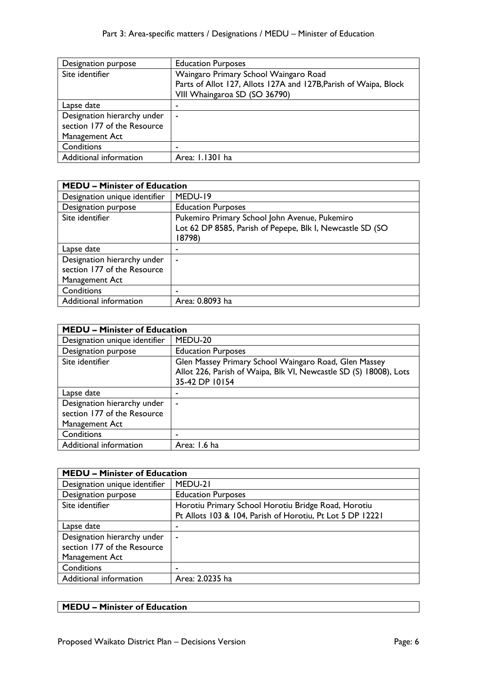| Designation purpose         | <b>Education Purposes</b>                                        |
|-----------------------------|------------------------------------------------------------------|
| Site identifier             | Waingaro Primary School Waingaro Road                            |
|                             | Parts of Allot 127, Allots 127A and 127B, Parish of Waipa, Block |
|                             | VIII Whaingaroa SD (SO 36790)                                    |
| Lapse date                  | ۰                                                                |
| Designation hierarchy under | $\blacksquare$                                                   |
| section 177 of the Resource |                                                                  |
| Management Act              |                                                                  |
| Conditions                  | ۰                                                                |
| Additional information      | Area: 1.1301 ha                                                  |

| <b>MEDU - Minister of Education</b> |                                                           |
|-------------------------------------|-----------------------------------------------------------|
| Designation unique identifier       | MEDU-19                                                   |
| <b>Designation purpose</b>          | <b>Education Purposes</b>                                 |
| Site identifier                     | Pukemiro Primary School John Avenue, Pukemiro             |
|                                     | Lot 62 DP 8585, Parish of Pepepe, Blk I, Newcastle SD (SO |
|                                     | 18798)                                                    |
| Lapse date                          | ٠                                                         |
| Designation hierarchy under         | ٠                                                         |
| section 177 of the Resource         |                                                           |
| Management Act                      |                                                           |
| Conditions                          | ٠                                                         |
| Additional information              | Area: 0.8093 ha                                           |

| <b>MEDU - Minister of Education</b> |                                                                   |
|-------------------------------------|-------------------------------------------------------------------|
| Designation unique identifier       | MEDU-20                                                           |
| <b>Designation purpose</b>          | <b>Education Purposes</b>                                         |
| Site identifier                     | Glen Massey Primary School Waingaro Road, Glen Massey             |
|                                     | Allot 226, Parish of Waipa, Blk VI, Newcastle SD (S) 18008), Lots |
|                                     | 35-42 DP 10154                                                    |
| Lapse date                          | ۰                                                                 |
| Designation hierarchy under         | ۰                                                                 |
| section 177 of the Resource         |                                                                   |
| Management Act                      |                                                                   |
| Conditions                          | ۰                                                                 |
| Additional information              | Area: 1.6 ha                                                      |

| <b>MEDU - Minister of Education</b> |                                                           |
|-------------------------------------|-----------------------------------------------------------|
| Designation unique identifier       | MEDU-21                                                   |
| Designation purpose                 | <b>Education Purposes</b>                                 |
| Site identifier                     | Horotiu Primary School Horotiu Bridge Road, Horotiu       |
|                                     | Pt Allots 103 & 104, Parish of Horotiu, Pt Lot 5 DP 12221 |
| Lapse date                          |                                                           |
| Designation hierarchy under         | $\overline{\phantom{a}}$                                  |
| section 177 of the Resource         |                                                           |
| Management Act                      |                                                           |
| Conditions                          |                                                           |
| Additional information              | Area: 2.0235 ha                                           |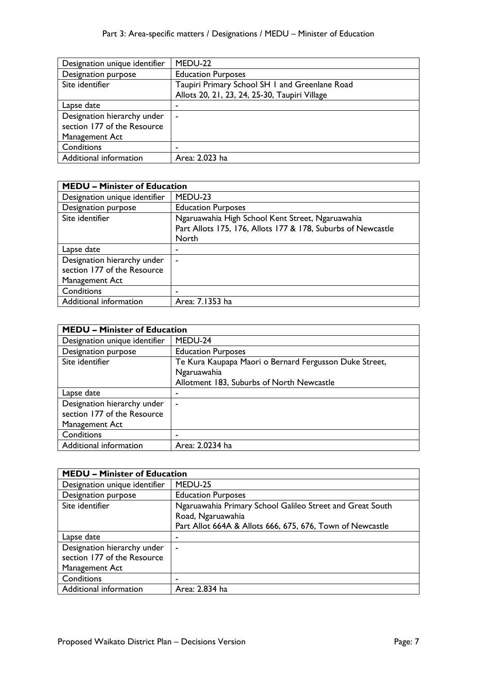| Designation unique identifier | MEDU-22                                        |
|-------------------------------|------------------------------------------------|
| Designation purpose           | <b>Education Purposes</b>                      |
| Site identifier               | Taupiri Primary School SH I and Greenlane Road |
|                               | Allots 20, 21, 23, 24, 25-30, Taupiri Village  |
| Lapse date                    | ۰                                              |
| Designation hierarchy under   | $\blacksquare$                                 |
| section 177 of the Resource   |                                                |
| Management Act                |                                                |
| Conditions                    | ٠                                              |
| Additional information        | Area: 2.023 ha                                 |

| <b>MEDU - Minister of Education</b> |                                                              |
|-------------------------------------|--------------------------------------------------------------|
| Designation unique identifier       | MEDU-23                                                      |
| Designation purpose                 | <b>Education Purposes</b>                                    |
| Site identifier                     | Ngaruawahia High School Kent Street, Ngaruawahia             |
|                                     | Part Allots 175, 176, Allots 177 & 178, Suburbs of Newcastle |
|                                     | North                                                        |
| Lapse date                          | ٠                                                            |
| Designation hierarchy under         | ٠                                                            |
| section 177 of the Resource         |                                                              |
| Management Act                      |                                                              |
| Conditions                          | -                                                            |
| Additional information              | Area: 7.1353 ha                                              |

| <b>MEDU - Minister of Education</b> |                                                        |
|-------------------------------------|--------------------------------------------------------|
| Designation unique identifier       | MEDU-24                                                |
| Designation purpose                 | <b>Education Purposes</b>                              |
| Site identifier                     | Te Kura Kaupapa Maori o Bernard Fergusson Duke Street, |
|                                     | Ngaruawahia                                            |
|                                     | Allotment 183, Suburbs of North Newcastle              |
| Lapse date                          |                                                        |
| Designation hierarchy under         | ٠                                                      |
| section 177 of the Resource         |                                                        |
| Management Act                      |                                                        |
| Conditions                          | -                                                      |
| Additional information              | Area: 2.0234 ha                                        |

| <b>MEDU - Minister of Education</b> |                                                           |
|-------------------------------------|-----------------------------------------------------------|
| Designation unique identifier       | MEDU-25                                                   |
| Designation purpose                 | <b>Education Purposes</b>                                 |
| Site identifier                     | Ngaruawahia Primary School Galileo Street and Great South |
|                                     | Road, Ngaruawahia                                         |
|                                     | Part Allot 664A & Allots 666, 675, 676, Town of Newcastle |
| Lapse date                          | ۰                                                         |
| Designation hierarchy under         | $\overline{\phantom{a}}$                                  |
| section 177 of the Resource         |                                                           |
| Management Act                      |                                                           |
| Conditions                          |                                                           |
| Additional information              | Area: 2.834 ha                                            |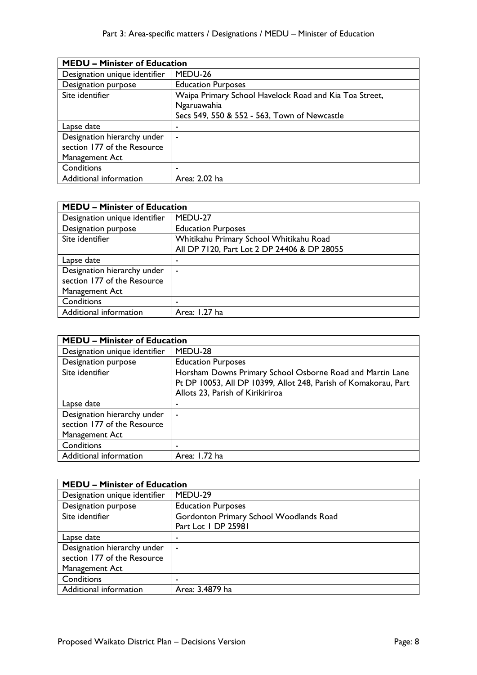| <b>MEDU - Minister of Education</b> |                                                        |
|-------------------------------------|--------------------------------------------------------|
| Designation unique identifier       | MEDU-26                                                |
| Designation purpose                 | <b>Education Purposes</b>                              |
| Site identifier                     | Waipa Primary School Havelock Road and Kia Toa Street, |
|                                     | Ngaruawahia                                            |
|                                     | Secs 549, 550 & 552 - 563, Town of Newcastle           |
| Lapse date                          | ٠                                                      |
| Designation hierarchy under         | $\blacksquare$                                         |
| section 177 of the Resource         |                                                        |
| Management Act                      |                                                        |
| Conditions                          | -                                                      |
| Additional information              | Area: 2.02 ha                                          |

| <b>MEDU - Minister of Education</b> |                                             |
|-------------------------------------|---------------------------------------------|
| Designation unique identifier       | MEDU-27                                     |
| Designation purpose                 | <b>Education Purposes</b>                   |
| Site identifier                     | Whitikahu Primary School Whitikahu Road     |
|                                     | All DP 7120, Part Lot 2 DP 24406 & DP 28055 |
| Lapse date                          |                                             |
| Designation hierarchy under         |                                             |
| section 177 of the Resource         |                                             |
| Management Act                      |                                             |
| Conditions                          |                                             |
| Additional information              | Area: 1.27 ha                               |

| <b>MEDU - Minister of Education</b> |                                                                 |
|-------------------------------------|-----------------------------------------------------------------|
| Designation unique identifier       | MEDU-28                                                         |
| Designation purpose                 | <b>Education Purposes</b>                                       |
| Site identifier                     | Horsham Downs Primary School Osborne Road and Martin Lane       |
|                                     | Pt DP 10053, All DP 10399, Allot 248, Parish of Komakorau, Part |
|                                     | Allots 23, Parish of Kirikiriroa                                |
| Lapse date                          | ٠                                                               |
| Designation hierarchy under         | $\blacksquare$                                                  |
| section 177 of the Resource         |                                                                 |
| Management Act                      |                                                                 |
| Conditions                          |                                                                 |
| Additional information              | Area: 1.72 ha                                                   |

| <b>MEDU - Minister of Education</b> |                                         |
|-------------------------------------|-----------------------------------------|
| Designation unique identifier       | MEDU-29                                 |
| Designation purpose                 | <b>Education Purposes</b>               |
| Site identifier                     | Gordonton Primary School Woodlands Road |
|                                     | Part Lot I DP 25981                     |
| Lapse date                          |                                         |
| Designation hierarchy under         |                                         |
| section 177 of the Resource         |                                         |
| Management Act                      |                                         |
| Conditions                          |                                         |
| Additional information              | Area: 3.4879 ha                         |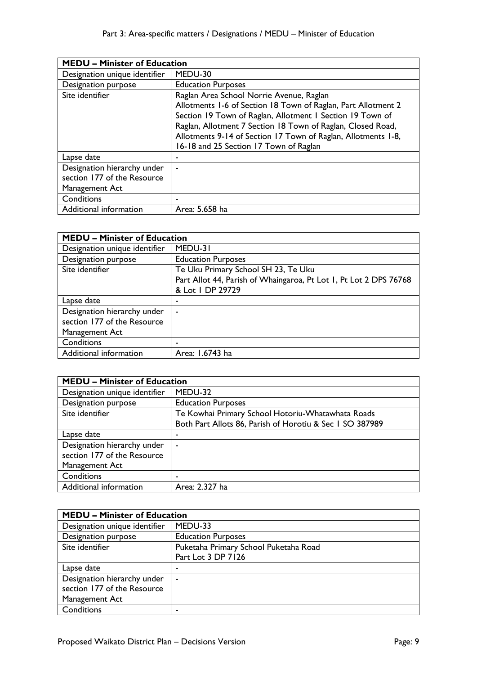| <b>MEDU - Minister of Education</b> |                                                               |
|-------------------------------------|---------------------------------------------------------------|
| Designation unique identifier       | MEDU-30                                                       |
| Designation purpose                 | <b>Education Purposes</b>                                     |
| Site identifier                     | Raglan Area School Norrie Avenue, Raglan                      |
|                                     | Allotments 1-6 of Section 18 Town of Raglan, Part Allotment 2 |
|                                     | Section 19 Town of Raglan, Allotment I Section 19 Town of     |
|                                     | Raglan, Allotment 7 Section 18 Town of Raglan, Closed Road,   |
|                                     | Allotments 9-14 of Section 17 Town of Raglan, Allotments 1-8, |
|                                     | 16-18 and 25 Section 17 Town of Raglan                        |
| Lapse date                          |                                                               |
| Designation hierarchy under         |                                                               |
| section 177 of the Resource         |                                                               |
| Management Act                      |                                                               |
| Conditions                          | ۰                                                             |
| Additional information              | Area: 5.658 ha                                                |

| <b>MEDU - Minister of Education</b> |                                                                   |
|-------------------------------------|-------------------------------------------------------------------|
| Designation unique identifier       | MEDU-31                                                           |
| Designation purpose                 | <b>Education Purposes</b>                                         |
| Site identifier                     | Te Uku Primary School SH 23, Te Uku                               |
|                                     | Part Allot 44, Parish of Whaingaroa, Pt Lot 1, Pt Lot 2 DPS 76768 |
|                                     | & Lot   DP 29729                                                  |
| Lapse date                          | ۰                                                                 |
| Designation hierarchy under         | ٠                                                                 |
| section 177 of the Resource         |                                                                   |
| Management Act                      |                                                                   |
| Conditions                          | ٠                                                                 |
| Additional information              | Area: 1.6743 ha                                                   |

| <b>MEDU - Minister of Education</b> |                                                          |
|-------------------------------------|----------------------------------------------------------|
| Designation unique identifier       | MEDU-32                                                  |
| Designation purpose                 | <b>Education Purposes</b>                                |
| Site identifier                     | Te Kowhai Primary School Hotoriu-Whatawhata Roads        |
|                                     | Both Part Allots 86, Parish of Horotiu & Sec 1 SO 387989 |
| Lapse date                          | ۰                                                        |
| Designation hierarchy under         | $\overline{\phantom{a}}$                                 |
| section 177 of the Resource         |                                                          |
| Management Act                      |                                                          |
| Conditions                          | -                                                        |
| Additional information              | Area: 2.327 ha                                           |

| <b>MEDU - Minister of Education</b> |                                       |
|-------------------------------------|---------------------------------------|
| Designation unique identifier       | MEDU-33                               |
| Designation purpose                 | <b>Education Purposes</b>             |
| Site identifier                     | Puketaha Primary School Puketaha Road |
|                                     | Part Lot 3 DP 7126                    |
| Lapse date                          | -                                     |
| Designation hierarchy under         | $\blacksquare$                        |
| section 177 of the Resource         |                                       |
| Management Act                      |                                       |
| Conditions                          |                                       |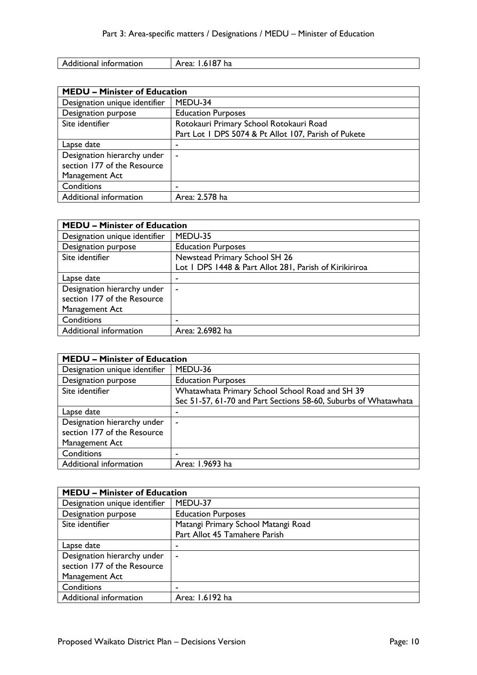| Additional information | 1.6187 <sup>1</sup><br>Area:<br>' ha |
|------------------------|--------------------------------------|

| <b>MEDU - Minister of Education</b> |                                                      |
|-------------------------------------|------------------------------------------------------|
| Designation unique identifier       | MEDU-34                                              |
| Designation purpose                 | <b>Education Purposes</b>                            |
| Site identifier                     | Rotokauri Primary School Rotokauri Road              |
|                                     | Part Lot 1 DPS 5074 & Pt Allot 107, Parish of Pukete |
| Lapse date                          | ٠                                                    |
| Designation hierarchy under         | $\overline{\phantom{0}}$                             |
| section 177 of the Resource         |                                                      |
| Management Act                      |                                                      |
| Conditions                          |                                                      |
| Additional information              | Area: 2.578 ha                                       |

| <b>MEDU - Minister of Education</b> |                                                        |
|-------------------------------------|--------------------------------------------------------|
| Designation unique identifier       | MEDU-35                                                |
| Designation purpose                 | <b>Education Purposes</b>                              |
| Site identifier                     | Newstead Primary School SH 26                          |
|                                     | Lot I DPS 1448 & Part Allot 281, Parish of Kirikiriroa |
| Lapse date                          |                                                        |
| Designation hierarchy under         | ٠                                                      |
| section 177 of the Resource         |                                                        |
| Management Act                      |                                                        |
| Conditions                          |                                                        |
| Additional information              | Area: 2.6982 ha                                        |

| <b>MEDU - Minister of Education</b> |                                                                 |
|-------------------------------------|-----------------------------------------------------------------|
| Designation unique identifier       | MEDU-36                                                         |
| Designation purpose                 | <b>Education Purposes</b>                                       |
| Site identifier                     | Whatawhata Primary School School Road and SH 39                 |
|                                     | Sec 51-57, 61-70 and Part Sections 58-60, Suburbs of Whatawhata |
| Lapse date                          | ۰                                                               |
| Designation hierarchy under         | $\blacksquare$                                                  |
| section 177 of the Resource         |                                                                 |
| Management Act                      |                                                                 |
| Conditions                          | ۰                                                               |
| Additional information              | Area: 1.9693 ha                                                 |

| <b>MEDU – Minister of Education</b> |                                     |
|-------------------------------------|-------------------------------------|
| Designation unique identifier       | MEDU-37                             |
| Designation purpose                 | <b>Education Purposes</b>           |
| Site identifier                     | Matangi Primary School Matangi Road |
|                                     | Part Allot 45 Tamahere Parish       |
| Lapse date                          |                                     |
| Designation hierarchy under         |                                     |
| section 177 of the Resource         |                                     |
| Management Act                      |                                     |
| Conditions                          |                                     |
| Additional information              | Area: 1.6192 ha                     |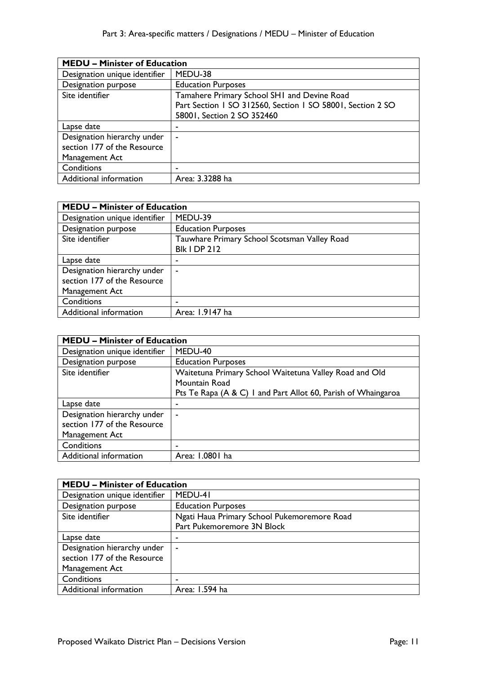| <b>MEDU - Minister of Education</b> |                                                            |
|-------------------------------------|------------------------------------------------------------|
| Designation unique identifier       | MEDU-38                                                    |
| <b>Designation purpose</b>          | <b>Education Purposes</b>                                  |
| Site identifier                     | Tamahere Primary School SHI and Devine Road                |
|                                     | Part Section 1 SO 312560, Section 1 SO 58001, Section 2 SO |
|                                     | 58001, Section 2 SO 352460                                 |
| Lapse date                          | ۰                                                          |
| Designation hierarchy under         | $\overline{\phantom{a}}$                                   |
| section 177 of the Resource         |                                                            |
| Management Act                      |                                                            |
| Conditions                          | ٠                                                          |
| Additional information              | Area: 3.3288 ha                                            |

| <b>MEDU - Minister of Education</b> |                                              |
|-------------------------------------|----------------------------------------------|
| Designation unique identifier       | MEDU-39                                      |
| Designation purpose                 | <b>Education Purposes</b>                    |
| Site identifier                     | Tauwhare Primary School Scotsman Valley Road |
|                                     | <b>Blk I DP 212</b>                          |
| Lapse date                          |                                              |
| Designation hierarchy under         | ٠                                            |
| section 177 of the Resource         |                                              |
| Management Act                      |                                              |
| Conditions                          |                                              |
| Additional information              | Area: 1.9147 ha                              |

| <b>MEDU - Minister of Education</b> |                                                               |
|-------------------------------------|---------------------------------------------------------------|
| Designation unique identifier       | MEDU-40                                                       |
| Designation purpose                 | <b>Education Purposes</b>                                     |
| Site identifier                     | Waitetuna Primary School Waitetuna Valley Road and Old        |
|                                     | Mountain Road                                                 |
|                                     | Pts Te Rapa (A & C) I and Part Allot 60, Parish of Whaingaroa |
| Lapse date                          | ٠                                                             |
| Designation hierarchy under         | ٠                                                             |
| section 177 of the Resource         |                                                               |
| Management Act                      |                                                               |
| Conditions                          | -                                                             |
| Additional information              | Area: 1.0801 ha                                               |

| <b>MEDU - Minister of Education</b> |                                             |
|-------------------------------------|---------------------------------------------|
| Designation unique identifier       | MEDU-41                                     |
| Designation purpose                 | <b>Education Purposes</b>                   |
| Site identifier                     | Ngati Haua Primary School Pukemoremore Road |
|                                     | Part Pukemoremore 3N Block                  |
| Lapse date                          |                                             |
| Designation hierarchy under         | $\sim$                                      |
| section 177 of the Resource         |                                             |
| Management Act                      |                                             |
| Conditions                          |                                             |
| Additional information              | Area: 1.594 ha                              |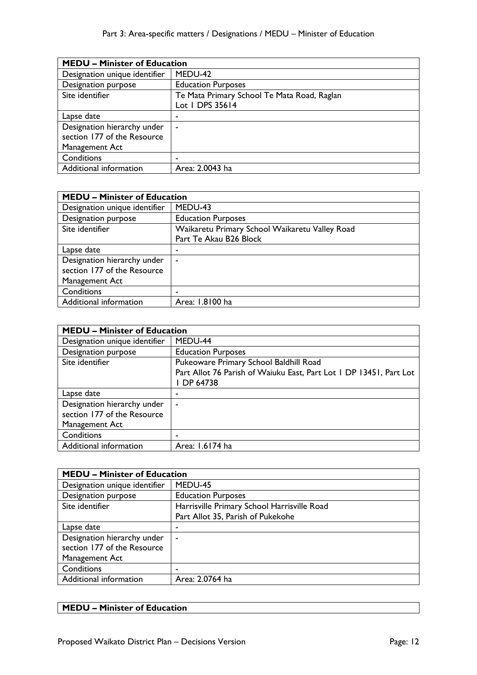| <b>MEDU - Minister of Education</b> |                                             |
|-------------------------------------|---------------------------------------------|
| Designation unique identifier       | MEDU-42                                     |
| Designation purpose                 | <b>Education Purposes</b>                   |
| Site identifier                     | Te Mata Primary School Te Mata Road, Raglan |
|                                     | Lot 1 DPS 35614                             |
| Lapse date                          | ٠                                           |
| Designation hierarchy under         | ۰                                           |
| section 177 of the Resource         |                                             |
| Management Act                      |                                             |
| Conditions                          | ۰                                           |
| Additional information              | Area: 2.0043 ha                             |

| <b>MEDU - Minister of Education</b> |                                                |
|-------------------------------------|------------------------------------------------|
| Designation unique identifier       | MEDU-43                                        |
| Designation purpose                 | <b>Education Purposes</b>                      |
| Site identifier                     | Waikaretu Primary School Waikaretu Valley Road |
|                                     | Part Te Akau B26 Block                         |
| Lapse date                          | ٠                                              |
| Designation hierarchy under         | $\overline{\phantom{a}}$                       |
| section 177 of the Resource         |                                                |
| Management Act                      |                                                |
| Conditions                          |                                                |
| Additional information              | Area: 1.8100 ha                                |

| <b>MEDU - Minister of Education</b> |                                                                    |
|-------------------------------------|--------------------------------------------------------------------|
| Designation unique identifier       | MEDU-44                                                            |
| Designation purpose                 | <b>Education Purposes</b>                                          |
| Site identifier                     | Pukeoware Primary School Baldhill Road                             |
|                                     | Part Allot 76 Parish of Waiuku East, Part Lot 1 DP 13451, Part Lot |
|                                     | I DP 64738                                                         |
| Lapse date                          | ۰                                                                  |
| Designation hierarchy under         | ٠                                                                  |
| section 177 of the Resource         |                                                                    |
| Management Act                      |                                                                    |
| Conditions                          | ٠                                                                  |
| Additional information              | Area: 1.6174 ha                                                    |

| <b>MEDU - Minister of Education</b> |                                             |
|-------------------------------------|---------------------------------------------|
| Designation unique identifier       | MEDU-45                                     |
| Designation purpose                 | <b>Education Purposes</b>                   |
| Site identifier                     | Harrisville Primary School Harrisville Road |
|                                     | Part Allot 35, Parish of Pukekohe           |
| Lapse date                          | ٠                                           |
| Designation hierarchy under         | $\overline{\phantom{a}}$                    |
| section 177 of the Resource         |                                             |
| Management Act                      |                                             |
| Conditions                          |                                             |
| Additional information              | Area: 2.0764 ha                             |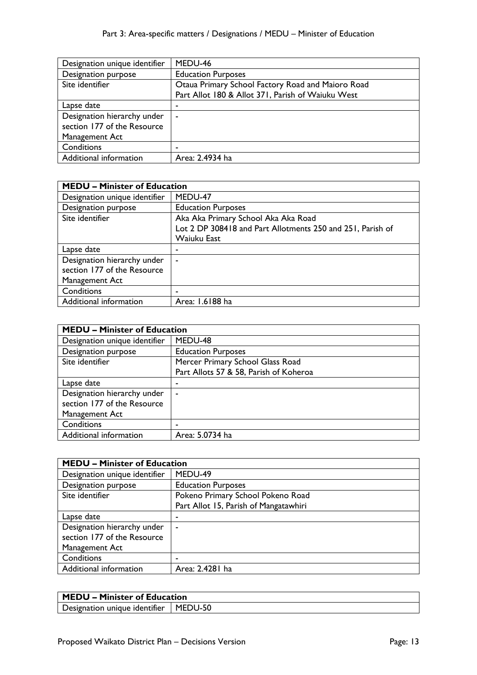| Designation unique identifier | MEDU-46                                           |
|-------------------------------|---------------------------------------------------|
| Designation purpose           | <b>Education Purposes</b>                         |
| Site identifier               | Otaua Primary School Factory Road and Maioro Road |
|                               | Part Allot 180 & Allot 371, Parish of Waiuku West |
| Lapse date                    |                                                   |
| Designation hierarchy under   | $\blacksquare$                                    |
| section 177 of the Resource   |                                                   |
| Management Act                |                                                   |
| Conditions                    | ۰                                                 |
| Additional information        | Area: 2.4934 ha                                   |

| <b>MEDU - Minister of Education</b> |                                                            |
|-------------------------------------|------------------------------------------------------------|
| Designation unique identifier       | MEDU-47                                                    |
| Designation purpose                 | <b>Education Purposes</b>                                  |
| Site identifier                     | Aka Aka Primary School Aka Aka Road                        |
|                                     | Lot 2 DP 308418 and Part Allotments 250 and 251, Parish of |
|                                     | Waiuku East                                                |
| Lapse date                          | ٠                                                          |
| Designation hierarchy under         | $\blacksquare$                                             |
| section 177 of the Resource         |                                                            |
| Management Act                      |                                                            |
| Conditions                          | -                                                          |
| Additional information              | Area: 1.6188 ha                                            |

| <b>MEDU - Minister of Education</b> |                                        |
|-------------------------------------|----------------------------------------|
| Designation unique identifier       | MEDU-48                                |
| Designation purpose                 | <b>Education Purposes</b>              |
| Site identifier                     | Mercer Primary School Glass Road       |
|                                     | Part Allots 57 & 58, Parish of Koheroa |
| Lapse date                          | -                                      |
| Designation hierarchy under         | $\blacksquare$                         |
| section 177 of the Resource         |                                        |
| Management Act                      |                                        |
| Conditions                          |                                        |
| Additional information              | Area: 5.0734 ha                        |

| <b>MEDU - Minister of Education</b> |                                       |
|-------------------------------------|---------------------------------------|
| Designation unique identifier       | MEDU-49                               |
| Designation purpose                 | <b>Education Purposes</b>             |
| Site identifier                     | Pokeno Primary School Pokeno Road     |
|                                     | Part Allot 15, Parish of Mangatawhiri |
| Lapse date                          |                                       |
| Designation hierarchy under         | ۰                                     |
| section 177 of the Resource         |                                       |
| Management Act                      |                                       |
| Conditions                          |                                       |
| Additional information              | Area: 2.4281 ha                       |

Designation unique identifier | MEDU-50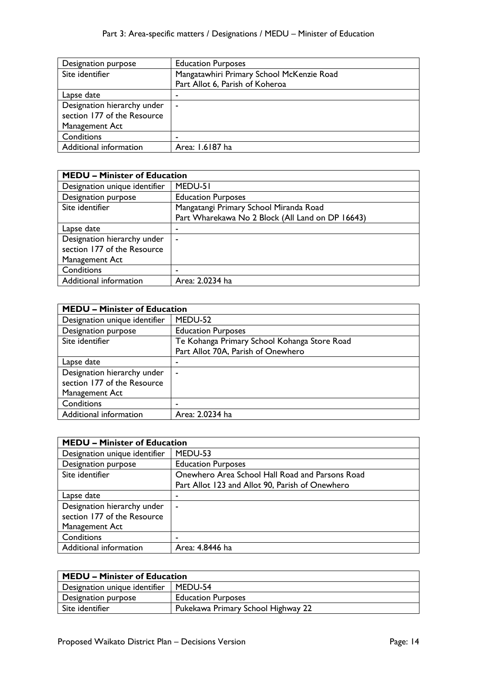| Designation purpose         | <b>Education Purposes</b>                 |
|-----------------------------|-------------------------------------------|
| Site identifier             | Mangatawhiri Primary School McKenzie Road |
|                             | Part Allot 6, Parish of Koheroa           |
| Lapse date                  | -                                         |
| Designation hierarchy under | $\,$                                      |
| section 177 of the Resource |                                           |
| Management Act              |                                           |
| Conditions                  |                                           |
| Additional information      | Area: 1.6187 ha                           |

| <b>MEDU - Minister of Education</b> |                                                  |
|-------------------------------------|--------------------------------------------------|
| Designation unique identifier       | MEDU-51                                          |
| Designation purpose                 | <b>Education Purposes</b>                        |
| Site identifier                     | Mangatangi Primary School Miranda Road           |
|                                     | Part Wharekawa No 2 Block (All Land on DP 16643) |
| Lapse date                          |                                                  |
| Designation hierarchy under         | ۰                                                |
| section 177 of the Resource         |                                                  |
| Management Act                      |                                                  |
| Conditions                          |                                                  |
| Additional information              | Area: 2.0234 ha                                  |

| <b>MEDU - Minister of Education</b> |                                              |
|-------------------------------------|----------------------------------------------|
| Designation unique identifier       | MEDU-52                                      |
| <b>Designation purpose</b>          | <b>Education Purposes</b>                    |
| Site identifier                     | Te Kohanga Primary School Kohanga Store Road |
|                                     | Part Allot 70A, Parish of Onewhero           |
| Lapse date                          |                                              |
| Designation hierarchy under         | $\sim$                                       |
| section 177 of the Resource         |                                              |
| Management Act                      |                                              |
| Conditions                          | ۰                                            |
| Additional information              | Area: 2.0234 ha                              |

| <b>MEDU - Minister of Education</b> |                                                 |
|-------------------------------------|-------------------------------------------------|
| Designation unique identifier       | MEDU-53                                         |
| Designation purpose                 | <b>Education Purposes</b>                       |
| Site identifier                     | Onewhero Area School Hall Road and Parsons Road |
|                                     | Part Allot 123 and Allot 90, Parish of Onewhero |
| Lapse date                          |                                                 |
| Designation hierarchy under         | $\overline{\phantom{0}}$                        |
| section 177 of the Resource         |                                                 |
| Management Act                      |                                                 |
| Conditions                          | -                                               |
| Additional information              | Area: 4.8446 ha                                 |

| <b>MEDU - Minister of Education</b> |                                    |
|-------------------------------------|------------------------------------|
| Designation unique identifier       | MEDU-54                            |
| Designation purpose                 | <b>Education Purposes</b>          |
| Site identifier                     | Pukekawa Primary School Highway 22 |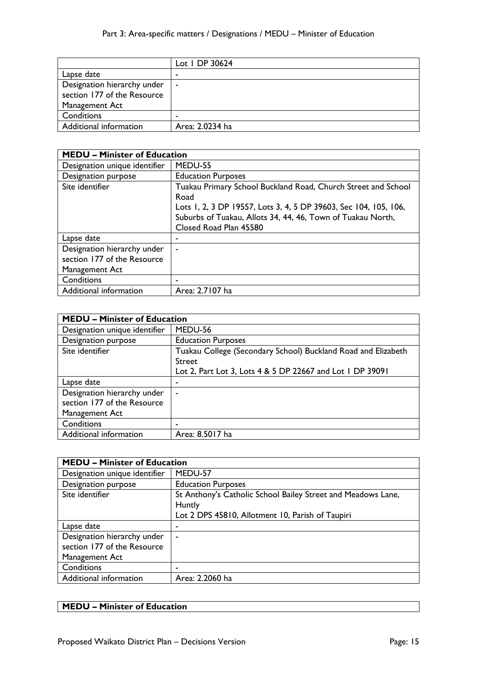|                                                                              | Lot   DP 30624  |
|------------------------------------------------------------------------------|-----------------|
| Lapse date                                                                   |                 |
| Designation hierarchy under<br>section 177 of the Resource<br>Management Act | $\blacksquare$  |
| Conditions                                                                   |                 |
|                                                                              | -               |
| Additional information                                                       | Area: 2.0234 ha |

| <b>MEDU – Minister of Education</b>                                          |                                                                                                                                                                                                                                    |
|------------------------------------------------------------------------------|------------------------------------------------------------------------------------------------------------------------------------------------------------------------------------------------------------------------------------|
| Designation unique identifier                                                | MEDU-55                                                                                                                                                                                                                            |
| Designation purpose                                                          | <b>Education Purposes</b>                                                                                                                                                                                                          |
| Site identifier                                                              | Tuakau Primary School Buckland Road, Church Street and School<br>Road<br>Lots 1, 2, 3 DP 19557, Lots 3, 4, 5 DP 39603, Sec 104, 105, 106,<br>Suburbs of Tuakau, Allots 34, 44, 46, Town of Tuakau North,<br>Closed Road Plan 45580 |
| Lapse date                                                                   |                                                                                                                                                                                                                                    |
| Designation hierarchy under<br>section 177 of the Resource<br>Management Act | $\blacksquare$                                                                                                                                                                                                                     |
| Conditions                                                                   | -                                                                                                                                                                                                                                  |
| Additional information                                                       | Area: 2.7107 ha                                                                                                                                                                                                                    |

| <b>MEDU - Minister of Education</b> |                                                               |  |
|-------------------------------------|---------------------------------------------------------------|--|
| Designation unique identifier       | MEDU-56                                                       |  |
| Designation purpose                 | <b>Education Purposes</b>                                     |  |
| Site identifier                     | Tuakau College (Secondary School) Buckland Road and Elizabeth |  |
|                                     | <b>Street</b>                                                 |  |
|                                     | Lot 2, Part Lot 3, Lots 4 & 5 DP 22667 and Lot 1 DP 39091     |  |
| Lapse date                          | ۰                                                             |  |
| Designation hierarchy under         | ۰                                                             |  |
| section 177 of the Resource         |                                                               |  |
| Management Act                      |                                                               |  |
| Conditions                          | -                                                             |  |
| Additional information              | Area: 8.5017 ha                                               |  |

| <b>MEDU - Minister of Education</b> |                                                              |
|-------------------------------------|--------------------------------------------------------------|
| Designation unique identifier       | MEDU-57                                                      |
| Designation purpose                 | <b>Education Purposes</b>                                    |
| Site identifier                     | St Anthony's Catholic School Bailey Street and Meadows Lane, |
|                                     | Huntly                                                       |
|                                     | Lot 2 DPS 45810, Allotment 10, Parish of Taupiri             |
| Lapse date                          | ۰                                                            |
| Designation hierarchy under         | $\blacksquare$                                               |
| section 177 of the Resource         |                                                              |
| Management Act                      |                                                              |
| Conditions                          |                                                              |
| Additional information              | Area: 2.2060 ha                                              |